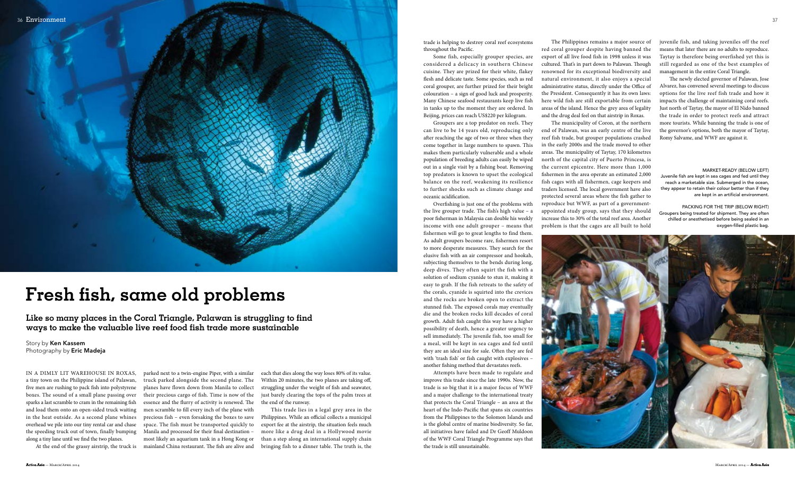

In a dimly lit warehouse in roxas, a tiny town on the Philippine island of Palawan, five men are rushing to pack fish into polystyrene boxes. The sound of a small plane passing over sparks a last scramble to cram in the remaining fish and load them onto an open-sided truck waiting in the heat outside. As a second plane whines overhead we pile into our tiny rental car and chase the speeding truck out of town, finally bumping along a tiny lane until we find the two planes.

At the end of the grassy airstrip, the truck is mainland China restaurant. The fish are alive and parked next to a twin-engine Piper, with a similar truck parked alongside the second plane. The planes have flown down from Manila to collect their precious cargo of fish. Time is now of the essence and the flurry of activity is renewed. The men scramble to fill every inch of the plane with precious fish – even forsaking the boxes to save space. The fish must be transported quickly to Manila and processed for their final destination – most likely an aquarium tank in a Hong Kong or

each that dies along the way loses 80% of its value. Within 20 minutes, the two planes are taking off, struggling under the weight of fish and seawater, just barely clearing the tops of the palm trees at the end of the runway.

This trade lies in a legal grey area in the Philippines. While an official collects a municipal export fee at the airstrip, the situation feels much more like a drug deal in a Hollywood movie than a step along an international supply chain bringing fish to a dinner table. The truth is, the

trade is helping to destroy coral reef ecosystems throughout the Pacific.

Some fish, especially grouper species, are considered a delicacy in southern Chinese cuisine. They are prized for their white, flakey flesh and delicate taste. Some species, such as red coral grouper, are further prized for their bright colouration – a sign of good luck and prosperity. Many Chinese seafood restaurants keep live fish in tanks up to the moment they are ordered. In Beijing, prices can reach US\$220 per kilogram.

Groupers are a top predator on reefs. They can live to be 14 years old, reproducing only after reaching the age of two or three when they come together in large numbers to spawn. This makes them particularly vulnerable and a whole population of breeding adults can easily be wiped out in a single visit by a fishing boat. Removing top predators is known to upset the ecological balance on the reef, weakening its resilience to further shocks such as climate change and oceanic acidification.

Overfishing is just one of the problems with the live grouper trade. The fish's high value – a poor fisherman in Malaysia can double his weekly income with one adult grouper – means that

Like so many places in the Coral Triangle, Palawan is struggling to find **ways to make the valuable live reef food fish trade more sustainable**

Story by Ken Kassem Photography by Eric Madeja

 $Action Asia - March/APRIL$  2014

fishermen will go to great lengths to find them. As adult groupers become rare, fishermen resort to more desperate measures. They search for the elusive fish with an air compressor and hookah, subjecting themselves to the bends during long, deep dives. They often squirt the fish with a solution of sodium cyanide to stun it, making it easy to grab. If the fish retreats to the safety of the corals, cyanide is squirted into the crevices and the rocks are broken open to extract the stunned fish. The exposed corals may eventually die and the broken rocks kill decades of coral growth. Adult fish caught this way have a higher possibility of death, hence a greater urgency to sell immediately. The juvenile fish, too small for a meal, will be kept in sea cages and fed until they are an ideal size for sale. Often they are fed with 'trash fish' or fish caught with explosives – another fishing method that devastates reefs.

PACKING FOR THE TRIP (BELOW RIGHT) Groupers being treated for shipment. They are often chilled or anesthetised before being sealed in an oxygen-filled plastic bag.



Attempts have been made to regulate and improve this trade since the late 1990s. Now, the trade is so big that it is a major focus of WWF and a major challenge to the international treaty that protects the Coral Triangle – an area at the heart of the Indo-Pacific that spans six countries from the Philippines to the Solomon Islands and is the global centre of marine biodiversity. So far, all initiatives have failed and Dr Geoff Muldoon of the WWF Coral Triangle Programme says that the trade is still unsustainable.

The Philippines remains a major source of red coral grouper despite having banned the export of all live food fish in 1998 unless it was cultured. That's in part down to Palawan. Though renowned for its exceptional biodiversity and natural environment, it also enjoys a special administrative status, directly under the Office of the President. Consequently it has its own laws: here wild fish are still exportable from certain areas of the island. Hence the grey area of legality and the drug deal feel on that airstrip in Roxas.

The municipality of Coron, at the northern end of Palawan, was an early centre of the live reef fish trade, but grouper populations crashed in the early 2000s and the trade moved to other areas. The municipality of Taytay, 170 kilometres north of the capital city of Puerto Princesa, is the current epicentre. Here more than 1,000 fishermen in the area operate an estimated 2,000 fish cages with all fishermen, cage keepers and traders licensed. The local government have also protected several areas where the fish gather to reproduce but WWF, as part of a governmentappointed study group, says that they should increase this to 30% of the total reef area. Another problem is that the cages are all built to hold juvenile fish, and taking juveniles off the reef means that later there are no adults to reproduce. Taytay is therefore being overfished yet this is still regarded as one of the best examples of management in the entire Coral Triangle.

The newly elected governor of Palawan, Jose Alvarez, has convened several meetings to discuss options for the live reef fish trade and how it impacts the challenge of maintaining coral reefs. Just north of Taytay, the mayor of El Nido banned the trade in order to protect reefs and attract more tourists. While banning the trade is one of the governor's options, both the mayor of Taytay, Romy Salvame, and WWF are against it.

# **Fresh fish, same old problems**

#### market-ready (Below left)

Juvenile fish are kept in sea cages and fed until they reach a marketable size. Submerged in the ocean, they appear to retain their colour better than if they are kept in an artificial environment.